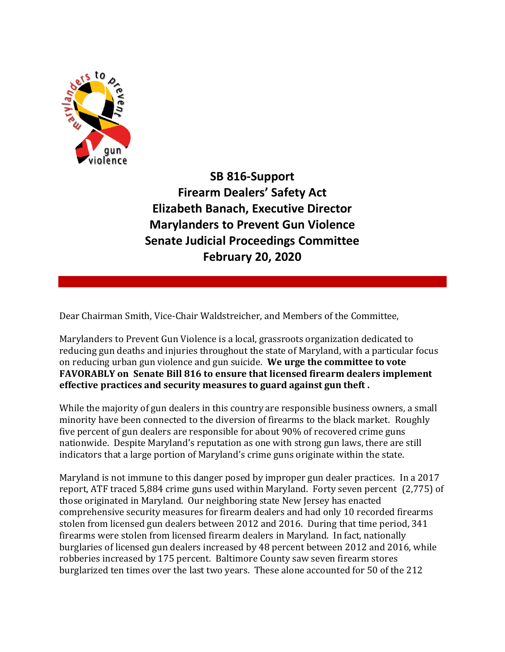

**SB 816-Support Firearm Dealers' Safety Act Elizabeth Banach, Executive Director Marylanders to Prevent Gun Violence Senate Judicial Proceedings Committee February 20, 2020**

Dear Chairman Smith, Vice-Chair Waldstreicher, and Members of the Committee,

Marylanders to Prevent Gun Violence is a local, grassroots organization dedicated to reducing gun deaths and injuries throughout the state of Maryland, with a particular focus on reducing urban gun violence and gun suicide. **We urge the committee to vote FAVORABLY on Senate Bill 816 to ensure that licensed firearm dealers implement effective practices and security measures to guard against gun theft .**

While the majority of gun dealers in this country are responsible business owners, a small minority have been connected to the diversion of firearms to the black market. Roughly five percent of gun dealers are responsible for about 90% of recovered crime guns nationwide. Despite Maryland's reputation as one with strong gun laws, there are still indicators that a large portion of Maryland's crime guns originate within the state.

Maryland is not immune to this danger posed by improper gun dealer practices. In a 2017 report, ATF traced 5,884 crime guns used within Maryland. Forty seven percent (2,775) of those originated in Maryland. Our neighboring state New Jersey has enacted comprehensive security measures for firearm dealers and had only 10 recorded firearms stolen from licensed gun dealers between 2012 and 2016. During that time period, 341 firearms were stolen from licensed firearm dealers in Maryland. In fact, nationally burglaries of licensed gun dealers increased by 48 percent between 2012 and 2016, while robberies increased by 175 percent. Baltimore County saw seven firearm stores burglarized ten times over the last two years. These alone accounted for 50 of the 212